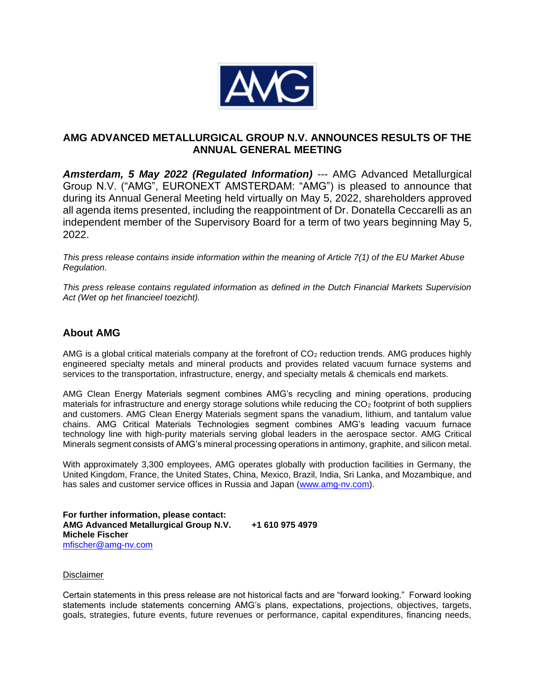

## **AMG ADVANCED METALLURGICAL GROUP N.V. ANNOUNCES RESULTS OF THE ANNUAL GENERAL MEETING**

*Amsterdam, 5 May 2022 (Regulated Information) ---* AMG Advanced Metallurgical Group N.V. ("AMG", EURONEXT AMSTERDAM: "AMG") is pleased to announce that during its Annual General Meeting held virtually on May 5, 2022, shareholders approved all agenda items presented, including the reappointment of Dr. Donatella Ceccarelli as an independent member of the Supervisory Board for a term of two years beginning May 5, 2022.

*This press release contains inside information within the meaning of Article 7(1) of the EU Market Abuse Regulation.*

*This press release contains regulated information as defined in the Dutch Financial Markets Supervision Act (Wet op het financieel toezicht).*

## **About AMG**

AMG is a global critical materials company at the forefront of  $CO<sub>2</sub>$  reduction trends. AMG produces highly engineered specialty metals and mineral products and provides related vacuum furnace systems and services to the transportation, infrastructure, energy, and specialty metals & chemicals end markets.

AMG Clean Energy Materials segment combines AMG's recycling and mining operations, producing materials for infrastructure and energy storage solutions while reducing the CO<sub>2</sub> footprint of both suppliers and customers. AMG Clean Energy Materials segment spans the vanadium, lithium, and tantalum value chains. AMG Critical Materials Technologies segment combines AMG's leading vacuum furnace technology line with high-purity materials serving global leaders in the aerospace sector. AMG Critical Minerals segment consists of AMG's mineral processing operations in antimony, graphite, and silicon metal.

With approximately 3,300 employees, AMG operates globally with production facilities in Germany, the United Kingdom, France, the United States, China, Mexico, Brazil, India, Sri Lanka, and Mozambique, and has sales and customer service offices in Russia and Japan [\(www.amg-nv.com\)](http://www.amg-nv.com/).

**For further information, please contact: AMG Advanced Metallurgical Group N.V. +1 610 975 4979 Michele Fischer** [mfischer@amg-nv.com](mailto:mfischer@amg-nv.com)

## **Disclaimer**

Certain statements in this press release are not historical facts and are "forward looking." Forward looking statements include statements concerning AMG's plans, expectations, projections, objectives, targets, goals, strategies, future events, future revenues or performance, capital expenditures, financing needs,